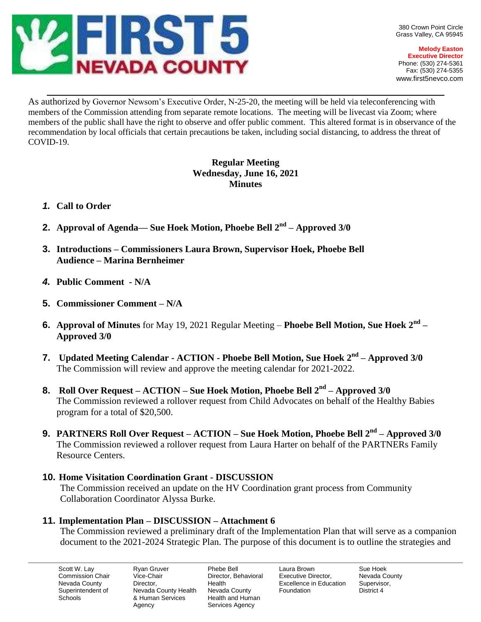

**Melody Easton Executive Director** Phone: (530) 274-5361 Fax: (530) 274-5355 www.first5nevco.com

\_\_\_\_\_\_\_\_\_\_\_\_\_\_\_\_\_\_\_\_\_\_\_\_\_\_\_\_\_\_\_\_\_\_\_\_\_\_\_\_\_\_\_\_\_\_\_\_\_\_\_\_\_\_\_\_\_\_\_\_\_\_\_\_\_\_\_\_\_\_\_\_\_\_\_\_\_\_\_\_\_\_\_\_\_\_\_\_ As authorized by Governor Newsom's Executive Order, N-25-20, the meeting will be held via teleconferencing with members of the Commission attending from separate remote locations. The meeting will be livecast via Zoom; where members of the public shall have the right to observe and offer public comment. This altered format is in observance of the recommendation by local officials that certain precautions be taken, including social distancing, to address the threat of COVID-19.

# **Regular Meeting Wednesday, June 16, 2021 Minutes**

## *1.* **Call to Order**

- **2. Approval of Agenda— Sue Hoek Motion, Phoebe Bell 2nd – Approved 3/0**
- **3. Introductions – Commissioners Laura Brown, Supervisor Hoek, Phoebe Bell Audience – Marina Bernheimer**
- *4.* **Public Comment - N/A**
- **5. Commissioner Comment – N/A**
- **6. Approval of Minutes** for May 19, 2021 Regular Meeting **Phoebe Bell Motion, Sue Hoek 2nd – Approved 3/0**
- **7. Updated Meeting Calendar - ACTION - Phoebe Bell Motion, Sue Hoek 2nd – Approved 3/0** The Commission will review and approve the meeting calendar for 2021-2022.
- **8. Roll Over Request – ACTION – Sue Hoek Motion, Phoebe Bell 2nd – Approved 3/0** The Commission reviewed a rollover request from Child Advocates on behalf of the Healthy Babies program for a total of \$20,500.
- **9. PARTNERS Roll Over Request – ACTION – Sue Hoek Motion, Phoebe Bell 2nd – Approved 3/0** The Commission reviewed a rollover request from Laura Harter on behalf of the PARTNERs Family Resource Centers.
- **10. Home Visitation Coordination Grant - DISCUSSION**

The Commission received an update on the HV Coordination grant process from Community Collaboration Coordinator Alyssa Burke.

## **11. Implementation Plan – DISCUSSION – Attachment 6**

The Commission reviewed a preliminary draft of the Implementation Plan that will serve as a companion document to the 2021-2024 Strategic Plan. The purpose of this document is to outline the strategies and

Scott W. Lay Commission Chair Nevada County Superintendent of **Schools** 

Ryan Gruver Vice-Chair **Director** Nevada County Health & Human Services Agency

Phebe Bell Director, Behavioral Health Nevada County Health and Human Services Agency

Laura Brown Executive Director, Excellence in Education Foundation

Sue Hoek Nevada County Supervisor, District 4